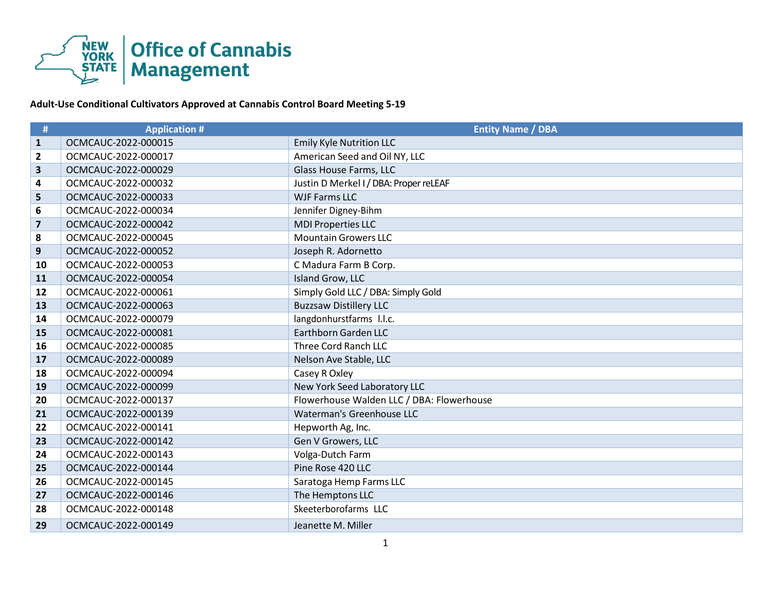

## **Adult-Use Conditional Cultivators Approved at Cannabis Control Board Meeting 5-19**

| #                       | <b>Application #</b> | <b>Entity Name / DBA</b>                  |
|-------------------------|----------------------|-------------------------------------------|
| $\mathbf{1}$            | OCMCAUC-2022-000015  | <b>Emily Kyle Nutrition LLC</b>           |
| $\overline{2}$          | OCMCAUC-2022-000017  | American Seed and Oil NY, LLC             |
| 3                       | OCMCAUC-2022-000029  | Glass House Farms, LLC                    |
| 4                       | OCMCAUC-2022-000032  | Justin D Merkel I / DBA: Proper reLEAF    |
| 5                       | OCMCAUC-2022-000033  | <b>WJF Farms LLC</b>                      |
| 6                       | OCMCAUC-2022-000034  | Jennifer Digney-Bihm                      |
| $\overline{\mathbf{z}}$ | OCMCAUC-2022-000042  | <b>MDI Properties LLC</b>                 |
| 8                       | OCMCAUC-2022-000045  | <b>Mountain Growers LLC</b>               |
| 9                       | OCMCAUC-2022-000052  | Joseph R. Adornetto                       |
| 10                      | OCMCAUC-2022-000053  | C Madura Farm B Corp.                     |
| 11                      | OCMCAUC-2022-000054  | Island Grow, LLC                          |
| 12                      | OCMCAUC-2022-000061  | Simply Gold LLC / DBA: Simply Gold        |
| 13                      | OCMCAUC-2022-000063  | <b>Buzzsaw Distillery LLC</b>             |
| 14                      | OCMCAUC-2022-000079  | langdonhurstfarms I.I.c.                  |
| 15                      | OCMCAUC-2022-000081  | Earthborn Garden LLC                      |
| 16                      | OCMCAUC-2022-000085  | Three Cord Ranch LLC                      |
| 17                      | OCMCAUC-2022-000089  | Nelson Ave Stable, LLC                    |
| 18                      | OCMCAUC-2022-000094  | Casey R Oxley                             |
| 19                      | OCMCAUC-2022-000099  | New York Seed Laboratory LLC              |
| 20                      | OCMCAUC-2022-000137  | Flowerhouse Walden LLC / DBA: Flowerhouse |
| 21                      | OCMCAUC-2022-000139  | Waterman's Greenhouse LLC                 |
| 22                      | OCMCAUC-2022-000141  | Hepworth Ag, Inc.                         |
| 23                      | OCMCAUC-2022-000142  | Gen V Growers, LLC                        |
| 24                      | OCMCAUC-2022-000143  | Volga-Dutch Farm                          |
| 25                      | OCMCAUC-2022-000144  | Pine Rose 420 LLC                         |
| 26                      | OCMCAUC-2022-000145  | Saratoga Hemp Farms LLC                   |
| 27                      | OCMCAUC-2022-000146  | The Hemptons LLC                          |
| 28                      | OCMCAUC-2022-000148  | Skeeterborofarms LLC                      |
| 29                      | OCMCAUC-2022-000149  | Jeanette M. Miller                        |